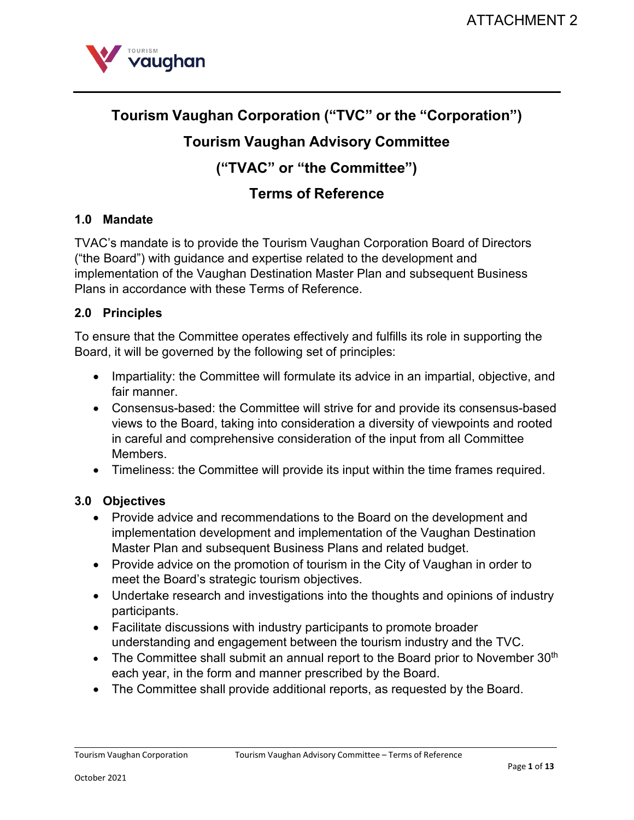

# **Tourism Vaughan Corporation ("TVC" or the "Corporation")**

## **Tourism Vaughan Advisory Committee**

**("TVAC" or "the Committee")** 

## **Terms of Reference**

## **1.0 Mandate**

TVAC's mandate is to provide the Tourism Vaughan Corporation Board of Directors ("the Board") with guidance and expertise related to the development and implementation of the Vaughan Destination Master Plan and subsequent Business Plans in accordance with these Terms of Reference.

## **2.0 Principles**

To ensure that the Committee operates effectively and fulfills its role in supporting the Board, it will be governed by the following set of principles:

- Impartiality: the Committee will formulate its advice in an impartial, objective, and fair manner.
- Consensus-based: the Committee will strive for and provide its consensus-based views to the Board, taking into consideration a diversity of viewpoints and rooted in careful and comprehensive consideration of the input from all Committee Members.
- Timeliness: the Committee will provide its input within the time frames required.

## **3.0 Objectives**

- Provide advice and recommendations to the Board on the development and implementation development and implementation of the Vaughan Destination Master Plan and subsequent Business Plans and related budget.
- Provide advice on the promotion of tourism in the City of Vaughan in order to meet the Board's strategic tourism objectives.
- Undertake research and investigations into the thoughts and opinions of industry participants.
- Facilitate discussions with industry participants to promote broader understanding and engagement between the tourism industry and the TVC.
- The Committee shall submit an annual report to the Board prior to November  $30<sup>th</sup>$ each year, in the form and manner prescribed by the Board.
- The Committee shall provide additional reports, as requested by the Board.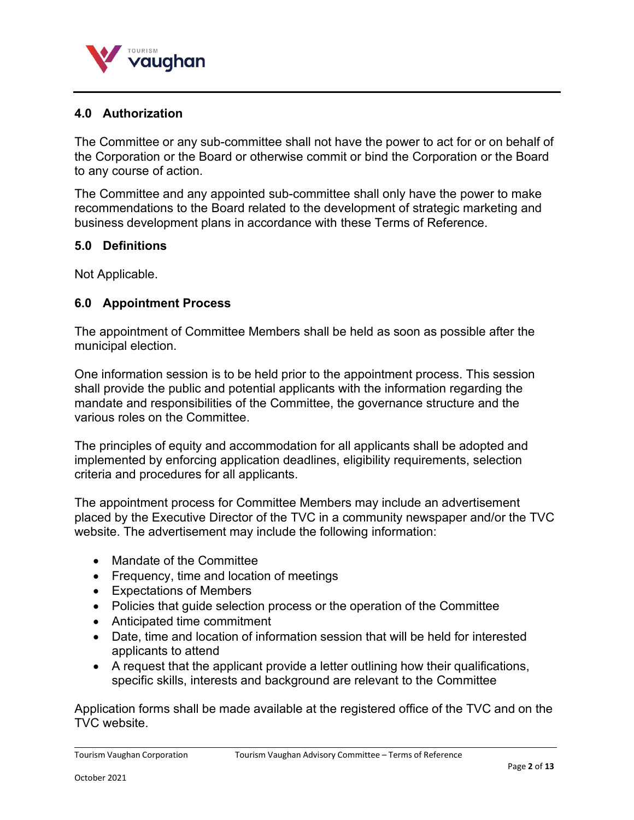

## **4.0 Authorization**

The Committee or any sub-committee shall not have the power to act for or on behalf of the Corporation or the Board or otherwise commit or bind the Corporation or the Board to any course of action.

The Committee and any appointed sub-committee shall only have the power to make recommendations to the Board related to the development of strategic marketing and business development plans in accordance with these Terms of Reference.

#### **5.0 Definitions**

Not Applicable.

#### **6.0 Appointment Process**

The appointment of Committee Members shall be held as soon as possible after the municipal election.

One information session is to be held prior to the appointment process. This session shall provide the public and potential applicants with the information regarding the mandate and responsibilities of the Committee, the governance structure and the various roles on the Committee.

The principles of equity and accommodation for all applicants shall be adopted and implemented by enforcing application deadlines, eligibility requirements, selection criteria and procedures for all applicants.

The appointment process for Committee Members may include an advertisement placed by the Executive Director of the TVC in a community newspaper and/or the TVC website. The advertisement may include the following information:

- Mandate of the Committee
- Frequency, time and location of meetings
- Expectations of Members
- Policies that guide selection process or the operation of the Committee
- Anticipated time commitment
- Date, time and location of information session that will be held for interested applicants to attend
- A request that the applicant provide a letter outlining how their qualifications, specific skills, interests and background are relevant to the Committee

Application forms shall be made available at the registered office of the TVC and on the TVC website.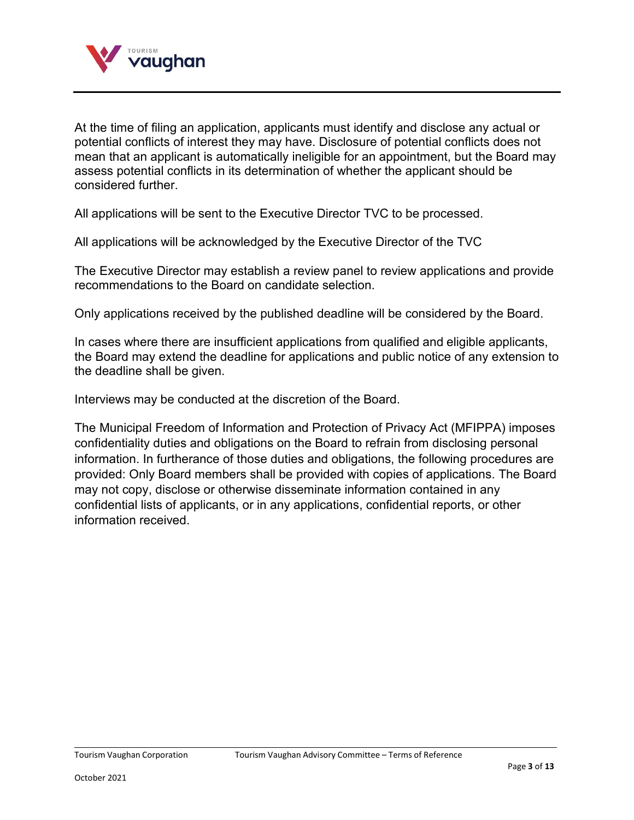

At the time of filing an application, applicants must identify and disclose any actual or potential conflicts of interest they may have. Disclosure of potential conflicts does not mean that an applicant is automatically ineligible for an appointment, but the Board may assess potential conflicts in its determination of whether the applicant should be considered further.

All applications will be sent to the Executive Director TVC to be processed.

All applications will be acknowledged by the Executive Director of the TVC

The Executive Director may establish a review panel to review applications and provide recommendations to the Board on candidate selection.

Only applications received by the published deadline will be considered by the Board.

In cases where there are insufficient applications from qualified and eligible applicants, the Board may extend the deadline for applications and public notice of any extension to the deadline shall be given.

Interviews may be conducted at the discretion of the Board.

The Municipal Freedom of Information and Protection of Privacy Act (MFIPPA) imposes confidentiality duties and obligations on the Board to refrain from disclosing personal information. In furtherance of those duties and obligations, the following procedures are provided: Only Board members shall be provided with copies of applications. The Board may not copy, disclose or otherwise disseminate information contained in any confidential lists of applicants, or in any applications, confidential reports, or other information received.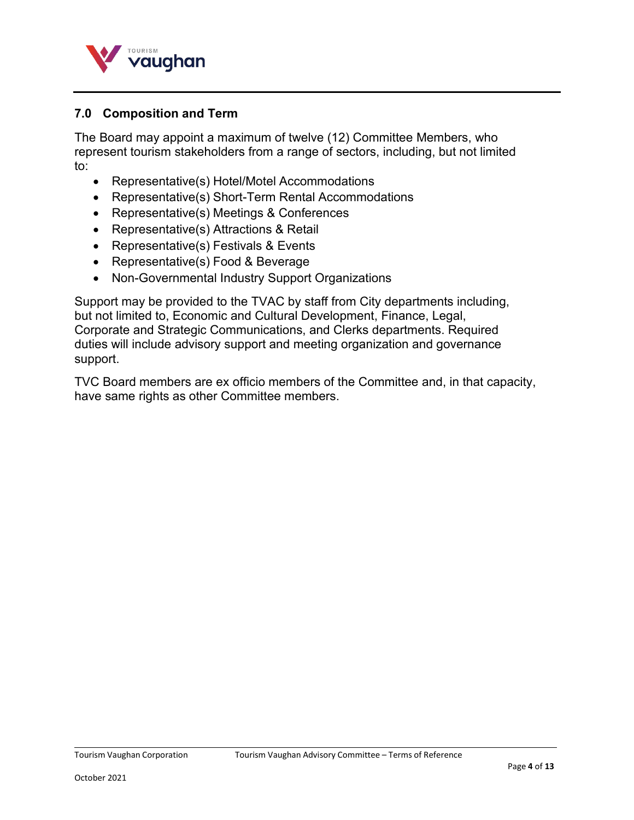

## **7.0 Composition and Term**

The Board may appoint a maximum of twelve (12) Committee Members, who represent tourism stakeholders from a range of sectors, including, but not limited to:

- Representative(s) Hotel/Motel Accommodations
- Representative(s) Short-Term Rental Accommodations
- Representative(s) Meetings & Conferences
- Representative(s) Attractions & Retail
- Representative(s) Festivals & Events
- Representative(s) Food & Beverage
- Non-Governmental Industry Support Organizations

Support may be provided to the TVAC by staff from City departments including, but not limited to, Economic and Cultural Development, Finance, Legal, Corporate and Strategic Communications, and Clerks departments. Required duties will include advisory support and meeting organization and governance support.

TVC Board members are ex officio members of the Committee and, in that capacity, have same rights as other Committee members.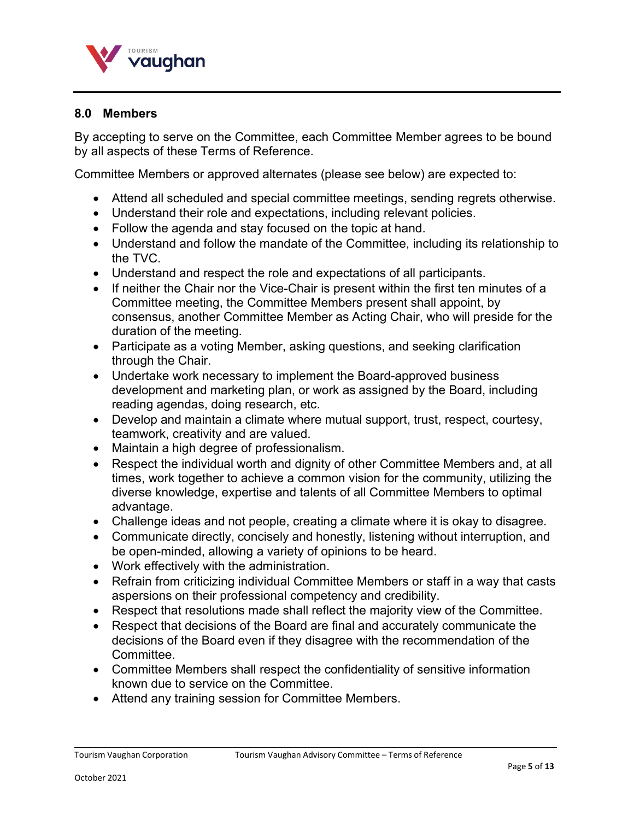

#### **8.0 Members**

By accepting to serve on the Committee, each Committee Member agrees to be bound by all aspects of these Terms of Reference.

Committee Members or approved alternates (please see below) are expected to:

- Attend all scheduled and special committee meetings, sending regrets otherwise.
- Understand their role and expectations, including relevant policies.
- Follow the agenda and stay focused on the topic at hand.
- Understand and follow the mandate of the Committee, including its relationship to the TVC.
- Understand and respect the role and expectations of all participants.
- If neither the Chair nor the Vice-Chair is present within the first ten minutes of a Committee meeting, the Committee Members present shall appoint, by consensus, another Committee Member as Acting Chair, who will preside for the duration of the meeting.
- Participate as a voting Member, asking questions, and seeking clarification through the Chair.
- Undertake work necessary to implement the Board-approved business development and marketing plan, or work as assigned by the Board, including reading agendas, doing research, etc.
- Develop and maintain a climate where mutual support, trust, respect, courtesy, teamwork, creativity and are valued.
- Maintain a high degree of professionalism.
- Respect the individual worth and dignity of other Committee Members and, at all times, work together to achieve a common vision for the community, utilizing the diverse knowledge, expertise and talents of all Committee Members to optimal advantage.
- Challenge ideas and not people, creating a climate where it is okay to disagree.
- Communicate directly, concisely and honestly, listening without interruption, and be open-minded, allowing a variety of opinions to be heard.
- Work effectively with the administration.
- Refrain from criticizing individual Committee Members or staff in a way that casts aspersions on their professional competency and credibility.
- Respect that resolutions made shall reflect the majority view of the Committee.
- Respect that decisions of the Board are final and accurately communicate the decisions of the Board even if they disagree with the recommendation of the Committee.
- Committee Members shall respect the confidentiality of sensitive information known due to service on the Committee.
- Attend any training session for Committee Members.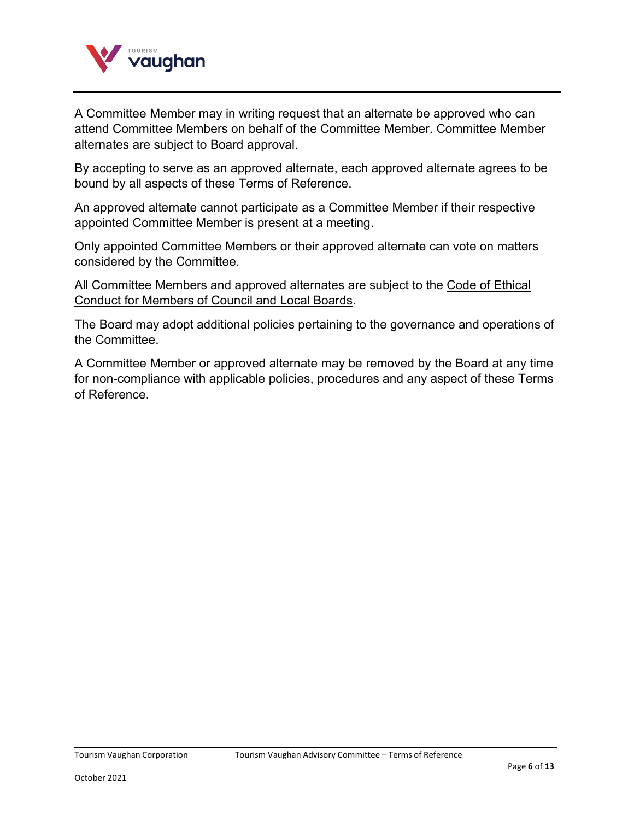

A Committee Member may in writing request that an alternate be approved who can attend Committee Members on behalf of the Committee Member. Committee Member alternates are subject to Board approval.

By accepting to serve as an approved alternate, each approved alternate agrees to be bound by all aspects of these Terms of Reference.

An approved alternate cannot participate as a Committee Member if their respective appointed Committee Member is present at a meeting.

Only appointed Committee Members or their approved alternate can vote on matters considered by the Committee.

All Committee Members and approved alternates are subject to the [Code of Ethical](http://www.vaughan.ca/cityhall/policies/policies/CL%20-%20011%20Code%20of%20Ethical%20Conduct%20for%20Members%20of%20Council.pdf) Conduct [for Members](http://www.vaughan.ca/cityhall/policies/policies/CL%20-%20011%20Code%20of%20Ethical%20Conduct%20for%20Members%20of%20Council.pdf) of Council and Local Boards.

The Board may adopt additional policies pertaining to the governance and operations of the Committee.

A Committee Member or approved alternate may be removed by the Board at any time for non-compliance with applicable policies, procedures and any aspect of these Terms of Reference.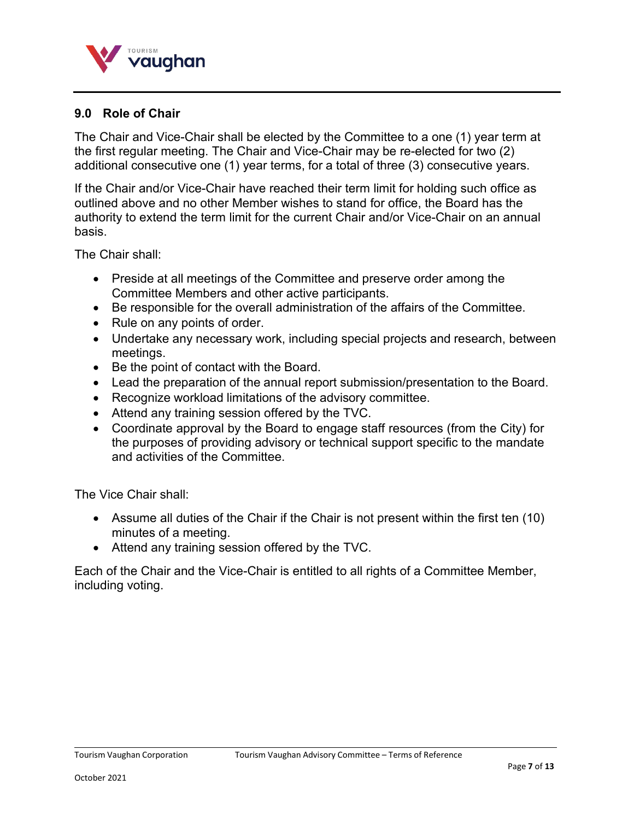

#### **9.0 Role of Chair**

The Chair and Vice-Chair shall be elected by the Committee to a one (1) year term at the first regular meeting. The Chair and Vice-Chair may be re-elected for two (2) additional consecutive one (1) year terms, for a total of three (3) consecutive years.

If the Chair and/or Vice-Chair have reached their term limit for holding such office as outlined above and no other Member wishes to stand for office, the Board has the authority to extend the term limit for the current Chair and/or Vice-Chair on an annual basis.

The Chair shall:

- Preside at all meetings of the Committee and preserve order among the Committee Members and other active participants.
- Be responsible for the overall administration of the affairs of the Committee.
- Rule on any points of order.
- Undertake any necessary work, including special projects and research, between meetings.
- Be the point of contact with the Board.
- Lead the preparation of the annual report submission/presentation to the Board.
- Recognize workload limitations of the advisory committee.
- Attend any training session offered by the TVC.
- Coordinate approval by the Board to engage staff resources (from the City) for the purposes of providing advisory or technical support specific to the mandate and activities of the Committee.

The Vice Chair shall:

- Assume all duties of the Chair if the Chair is not present within the first ten (10) minutes of a meeting.
- Attend any training session offered by the TVC.

Each of the Chair and the Vice-Chair is entitled to all rights of a Committee Member, including voting.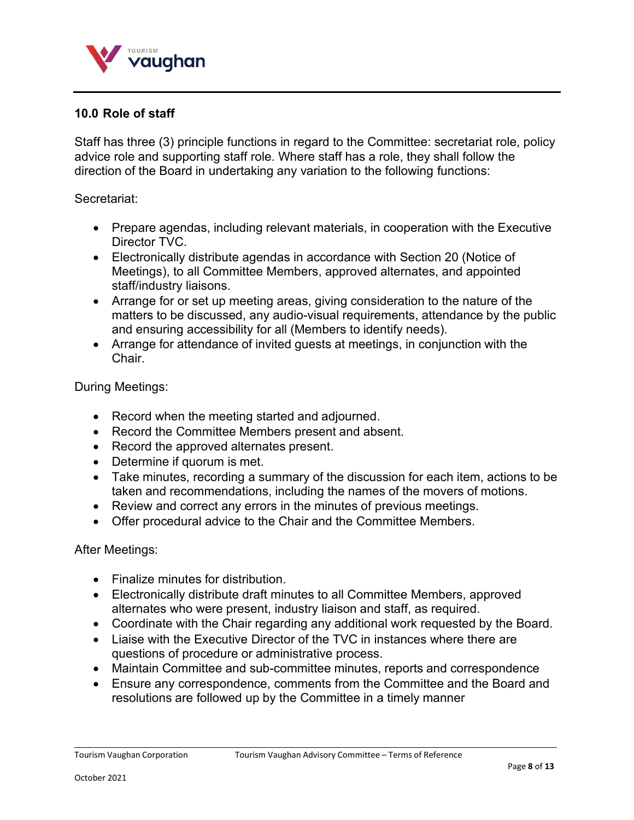

## **10.0 Role of staff**

Staff has three (3) principle functions in regard to the Committee: secretariat role, policy advice role and supporting staff role. Where staff has a role, they shall follow the direction of the Board in undertaking any variation to the following functions:

#### Secretariat:

- Prepare agendas, including relevant materials, in cooperation with the Executive Director TVC.
- Electronically distribute agendas in accordance with Section 20 (Notice of Meetings), to all Committee Members, approved alternates, and appointed staff/industry liaisons.
- Arrange for or set up meeting areas, giving consideration to the nature of the matters to be discussed, any audio-visual requirements, attendance by the public and ensuring accessibility for all (Members to identify needs).
- Arrange for attendance of invited guests at meetings, in conjunction with the Chair.

During Meetings:

- Record when the meeting started and adjourned.
- Record the Committee Members present and absent.
- Record the approved alternates present.
- Determine if quorum is met.
- Take minutes, recording a summary of the discussion for each item, actions to be taken and recommendations, including the names of the movers of motions.
- Review and correct any errors in the minutes of previous meetings.
- Offer procedural advice to the Chair and the Committee Members.

After Meetings:

- Finalize minutes for distribution.
- Electronically distribute draft minutes to all Committee Members, approved alternates who were present, industry liaison and staff, as required.
- Coordinate with the Chair regarding any additional work requested by the Board.
- Liaise with the Executive Director of the TVC in instances where there are questions of procedure or administrative process.
- Maintain Committee and sub-committee minutes, reports and correspondence
- Ensure any correspondence, comments from the Committee and the Board and resolutions are followed up by the Committee in a timely manner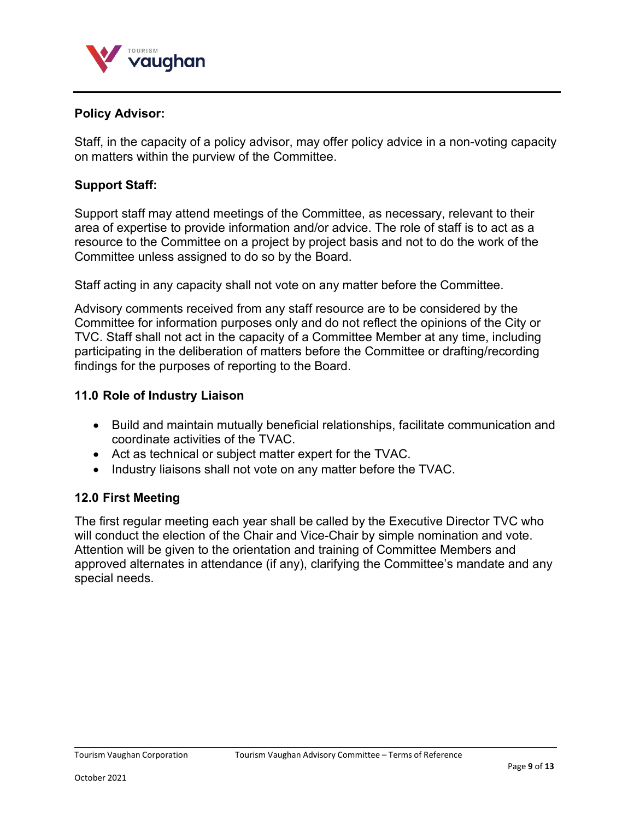

#### **Policy Advisor:**

Staff, in the capacity of a policy advisor, may offer policy advice in a non-voting capacity on matters within the purview of the Committee.

#### **Support Staff:**

Support staff may attend meetings of the Committee, as necessary, relevant to their area of expertise to provide information and/or advice. The role of staff is to act as a resource to the Committee on a project by project basis and not to do the work of the Committee unless assigned to do so by the Board.

Staff acting in any capacity shall not vote on any matter before the Committee.

Advisory comments received from any staff resource are to be considered by the Committee for information purposes only and do not reflect the opinions of the City or TVC. Staff shall not act in the capacity of a Committee Member at any time, including participating in the deliberation of matters before the Committee or drafting/recording findings for the purposes of reporting to the Board.

#### **11.0 Role of Industry Liaison**

- Build and maintain mutually beneficial relationships, facilitate communication and coordinate activities of the TVAC.
- Act as technical or subject matter expert for the TVAC.
- Industry liaisons shall not vote on any matter before the TVAC.

#### **12.0 First Meeting**

The first regular meeting each year shall be called by the Executive Director TVC who will conduct the election of the Chair and Vice-Chair by simple nomination and vote. Attention will be given to the orientation and training of Committee Members and approved alternates in attendance (if any), clarifying the Committee's mandate and any special needs.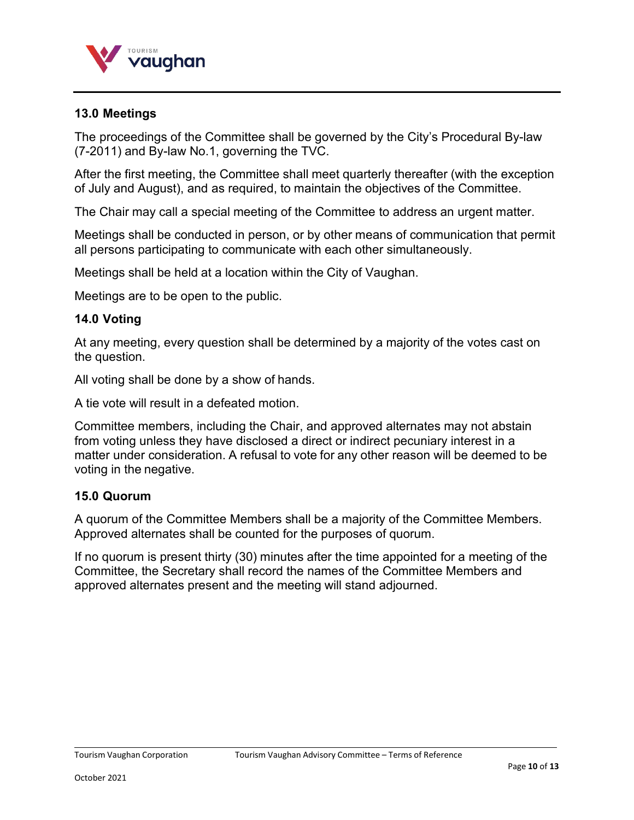

## **13.0 Meetings**

The proceedings of the Committee shall be governed by the City's Procedural By-law (7-2011) and By-law No.1, governing the TVC.

After the first meeting, the Committee shall meet quarterly thereafter (with the exception of July and August), and as required, to maintain the objectives of the Committee.

The Chair may call a special meeting of the Committee to address an urgent matter.

Meetings shall be conducted in person, or by other means of communication that permit all persons participating to communicate with each other simultaneously.

Meetings shall be held at a location within the City of Vaughan.

Meetings are to be open to the public.

#### **14.0 Voting**

At any meeting, every question shall be determined by a majority of the votes cast on the question.

All voting shall be done by a show of hands.

A tie vote will result in a defeated motion.

Committee members, including the Chair, and approved alternates may not abstain from voting unless they have disclosed a direct or indirect pecuniary interest in a matter under consideration. A refusal to vote for any other reason will be deemed to be voting in the negative.

#### **15.0 Quorum**

A quorum of the Committee Members shall be a majority of the Committee Members. Approved alternates shall be counted for the purposes of quorum.

If no quorum is present thirty (30) minutes after the time appointed for a meeting of the Committee, the Secretary shall record the names of the Committee Members and approved alternates present and the meeting will stand adjourned.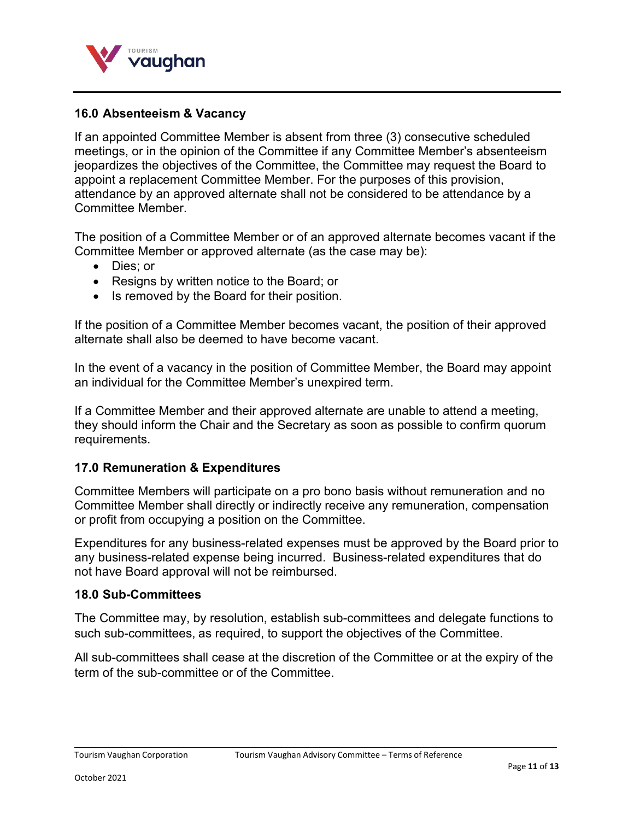

#### **16.0 Absenteeism & Vacancy**

If an appointed Committee Member is absent from three (3) consecutive scheduled meetings, or in the opinion of the Committee if any Committee Member's absenteeism jeopardizes the objectives of the Committee, the Committee may request the Board to appoint a replacement Committee Member. For the purposes of this provision, attendance by an approved alternate shall not be considered to be attendance by a Committee Member.

The position of a Committee Member or of an approved alternate becomes vacant if the Committee Member or approved alternate (as the case may be):

- Dies; or
- Resigns by written notice to the Board; or
- Is removed by the Board for their position.

If the position of a Committee Member becomes vacant, the position of their approved alternate shall also be deemed to have become vacant.

In the event of a vacancy in the position of Committee Member, the Board may appoint an individual for the Committee Member's unexpired term.

If a Committee Member and their approved alternate are unable to attend a meeting, they should inform the Chair and the Secretary as soon as possible to confirm quorum requirements.

#### **17.0 Remuneration & Expenditures**

Committee Members will participate on a pro bono basis without remuneration and no Committee Member shall directly or indirectly receive any remuneration, compensation or profit from occupying a position on the Committee.

Expenditures for any business-related expenses must be approved by the Board prior to any business-related expense being incurred. Business-related expenditures that do not have Board approval will not be reimbursed.

#### **18.0 Sub-Committees**

The Committee may, by resolution, establish sub-committees and delegate functions to such sub-committees, as required, to support the objectives of the Committee.

All sub-committees shall cease at the discretion of the Committee or at the expiry of the term of the sub-committee or of the Committee.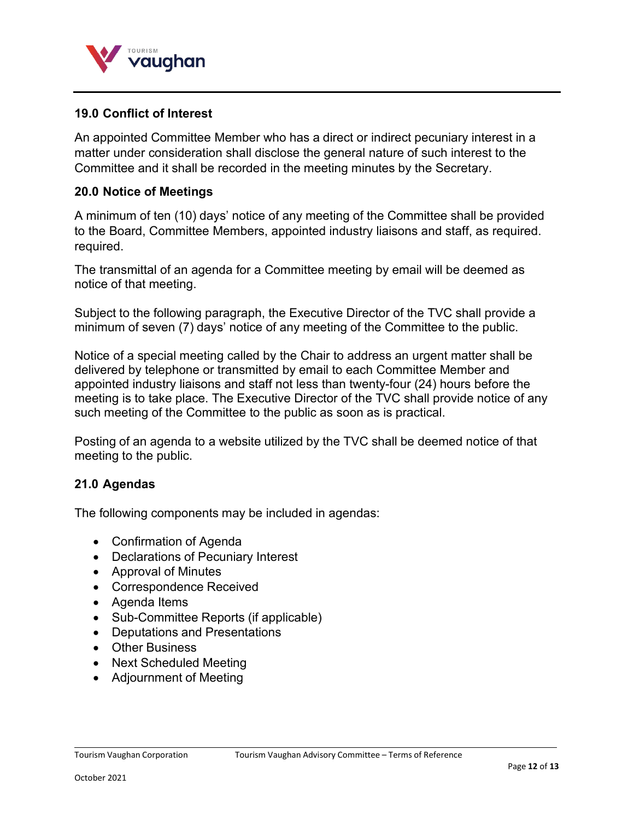

#### **19.0 Conflict of Interest**

An appointed Committee Member who has a direct or indirect pecuniary interest in a matter under consideration shall disclose the general nature of such interest to the Committee and it shall be recorded in the meeting minutes by the Secretary.

#### **20.0 Notice of Meetings**

A minimum of ten (10) days' notice of any meeting of the Committee shall be provided to the Board, Committee Members, appointed industry liaisons and staff, as required. required.

The transmittal of an agenda for a Committee meeting by email will be deemed as notice of that meeting.

Subject to the following paragraph, the Executive Director of the TVC shall provide a minimum of seven (7) days' notice of any meeting of the Committee to the public.

Notice of a special meeting called by the Chair to address an urgent matter shall be delivered by telephone or transmitted by email to each Committee Member and appointed industry liaisons and staff not less than twenty-four (24) hours before the meeting is to take place. The Executive Director of the TVC shall provide notice of any such meeting of the Committee to the public as soon as is practical.

Posting of an agenda to a website utilized by the TVC shall be deemed notice of that meeting to the public.

#### **21.0 Agendas**

The following components may be included in agendas:

- Confirmation of Agenda
- Declarations of Pecuniary Interest
- Approval of Minutes
- Correspondence Received
- Agenda Items
- Sub-Committee Reports (if applicable)
- Deputations and Presentations
- Other Business
- Next Scheduled Meeting
- Adjournment of Meeting